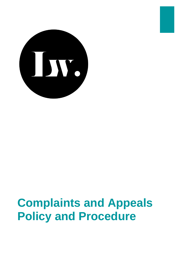

# **Complaints and Appeals Policy and Procedure**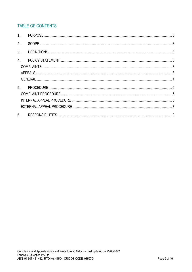## TABLE OF CONTENTS

| 2.             |  |
|----------------|--|
| 3.             |  |
| 4.             |  |
|                |  |
|                |  |
|                |  |
| 5 <sub>1</sub> |  |
|                |  |
|                |  |
|                |  |
| 6.             |  |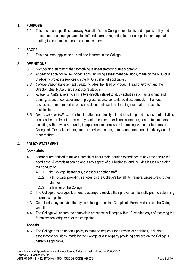## <span id="page-2-0"></span>**1. PURPOSE**

1.1 This document specifies Laneway Education's (the College) complaints and appeals policy and procedure. It sets out guidance to staff and learners regarding learner complaints and appeals relating to academic and non-academic matters.

## <span id="page-2-1"></span>**2. SCOPE**

2.1 This document applies to all staff and learners in the College.

## <span id="page-2-2"></span>**3. DEFINITIONS**

- 3.1 *Complaint*: a statement that something is unsatisfactory or unacceptable.
- 3.2 *Appeal*: to apply for review of decisions, including assessment decisions, made by the RTO or a third-party providing services on the RTO's behalf (if applicable).
- 3.3 *College Senior Management Team*: includes the Head of Product, Head of Growth and the Director: Quality Assurance and Accreditation.
- 3.4 *Academic Matters:* refer to all matters directly related to study activities such as teaching and training, attendance, assessment, progress, course content, facilities, curriculum, trainers, assessors, course materials or course documents such as learning materials, transcripts or qualifications.
- 3.5 *Non-Academic Matters*: refer to all matters not directly related to training and assessment activities such as the enrolment process, payment of fees or other financial matters, contractual matters including withdrawals & refunds, interpersonal matters when interacting with other learners or College staff or stakeholders, student services matters, data management and its privacy and all other matters.

## <span id="page-2-4"></span><span id="page-2-3"></span>**4. POLICY STATEMENT**

## **Complaints**

- 4.1 Learners are entitled to make a complaint about their learning experience at any time should the need arise. A complaint can be about any aspect of our business, and includes issues regarding the conduct of:
	- 4.1.1 the College, its trainers, assessors or other staff;
	- 4.1.2 a third-party providing services on the College's behalf, its trainers, assessors or other staff; or
	- 4.1.3 a learner of the College.
- 4.2 The College encourages learners to attempt to resolve their grievance informally prior to submitting a formal complaint.
- 4.3 Complaints may be submitted by completing the online Complaints Form available on the College website.
- 4.4 The College will ensure the complaints processes will begin within 10 working days of receiving the formal written lodgement of the complaint.

## <span id="page-2-5"></span>**Appeals**

4.5 The College has an appeals policy to manage requests for a review of decisions, including assessment decisions, made by the College or a third-party providing services on the College's behalf (if applicable).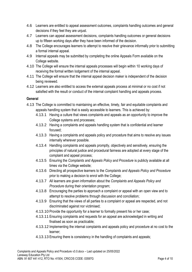- 4.6 Learners are entitled to appeal assessment outcomes, complaints handling outcomes and general decisions if they feel they are unjust.
- 4.7 Learners can appeal assessment decisions, complaints handling outcomes or general decisions up to fifteen working days after they have been informed of the decision.
- 4.8 The College encourages learners to attempt to resolve their grievance informally prior to submitting a formal internal appeal.
- 4.9 Internal appeals may be submitted by completing the online Appeals Form available on the College website.
- 4.10 The College will ensure the internal appeals processes will begin within 10 working days of receiving the formal written lodgement of the internal appeal.
- 4.11 The College will ensure that the internal appeal decision maker is independent of the decision being reviewed.
- 4.12 Learners are also entitled to access the external appeals process at minimal or no cost if not satisfied with the result or conduct of the internal complaint handling and appeals process.

## <span id="page-3-0"></span>**General**

- 4.13 The College is committed to maintaining an effective, timely, fair and equitable complaints and appeals handling system that is easily accessible to learners. This is achieved by:
	- 4.13.1 Having a culture that views complaints and appeals as an opportunity to improve the College systems and processes;
	- 4.13.2 Having a complaints and appeals handling system that is confidential and learner focused;
	- 4.13.3 Having a complaints and appeals policy and procedure that aims to resolve any issues internally wherever possible.
	- 4.13.4 Handling complaints and appeals promptly, objectively and sensitively, ensuring the principles of natural justice and procedural fairness are adopted at every stage of the complaint and appeal process;
	- 4.13.5 Ensuring the *Complaints and Appeals Policy and Procedure* is publicly available at all times via the College website;
	- 4.13.6 Directing all prospective learners to the *Complaints and Appeals Policy and Procedure*  prior to making a decision to enrol with the College;
	- 4.13.7 All learners are given information about the *Complaints and Appeals Policy and Procedure* during their orientation program;
	- 4.13.8 Encouraging the parties to approach a complaint or appeal with an open view and to attempt to resolve problems through discussion and conciliation;
	- 4.13.9 Ensuring that the views of all parties to a complaint or appeal are respected, and not discriminated against nor victimised;
	- 4.13.10 Provide the opportunity for a learner to formally present his or her case;
	- 4.13.11 Ensuring complaints and requests for an appeal are acknowledged in writing and finalised as soon as practicable;
	- 4.13.12 Implementing the internal complaints and appeals policy and procedure at no cost to the learner;
	- 4.13.13 Ensuring there is consistency in the handling of complaints and appeals;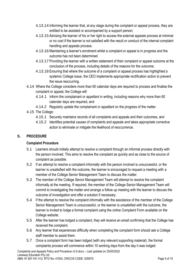- 4.13.14 Informing the learner that, at any stage during the complaint or appeal process, they are entitled to be assisted or accompanied by a support person;
- 4.13.15 Advising the learner of his or her right to access the external appeals process at minimal or no cost if the learner is not satisfied with the result or conduct of the internal complaint handling and appeals process.
- 4.13.16 Maintaining a learner's enrolment whilst a complaint or appeal is in progress and the outcome has not been determined.
- 4.13.17 Providing the learner with a written statement of their complaint or appeal outcome at the conclusion of the process, including details of the reasons for the outcome;
- 4.13.18 Ensuring that where the outcome of a complaint or appeal process has highlighted a systemic College issue, the CEO implements appropriate rectification action to prevent the issue reoccurring.
- 4.14 Where the College considers more than 60 calendar days are required to process and finalise the complaint or appeal, the College will:
	- 4.14.1 Inform the complainant or appellant in writing, including reasons why more than 60 calendar days are required, and
	- 4.14.2 Regularly update the complainant or appellant on the progress of the matter.
- 4.15 The College:
	- 4.15.1 Securely maintains records of all complaints and appeals and their outcomes, and
	- 4.15.2 Identifies potential causes of complaints and appeals and takes appropriate corrective action to eliminate or mitigate the likelihood of reoccurrence.

## <span id="page-4-1"></span><span id="page-4-0"></span>**5. PROCEDURE**

## **Complaint Procedure**

- 5.1 Learners should initially attempt to resolve a complaint through an informal process directly with the person involved. This aims to resolve the complaint as quickly and as close to the source of complaint as possible.
- 5.2 If an attempt to resolve a complaint informally with the person involved is unsuccessful, or the learner is unsatisfied with the outcome, the learner is encouraged to request a meeting with a member of the College Senior Management Team to discuss the matter.
- 5.3 The member of the College Senior Management Team will attempt to resolve the complaint informally at the meeting. If required, the member of the College Senior Management Team will commit to investigating the matter and arrange a follow up meeting with the learner to discuss the outcome of investigation and offer a solution if necessary.
- 5.4 If the attempt to resolve the complaint informally with the assistance of the member of the College Senior Management Team is unsuccessful, or the learner is unsatisfied with the outcome, the learner is invited to lodge a formal complaint using the online Complaint Form available on the College website.
- 5.5 After the learner has lodged a complaint, they will receive an email confirming that the College has received the complaint.
- 5.6 Any learner that experiences difficulty when completing the complaint form should ask a College staff member to assist them.
- 5.7 Once a complaint form has been lodged (with any relevant supporting material), the formal complaints process will commence within 10 working days from the day it was lodged.

Complaints and Appeals Policy and Procedure v3.0.docx – Last updated on 25/05/2022 Laneway Education Pty Ltd ABN: 91 607 441 412, RTO No: 41504, CRICOS CODE: 03597G Page 5 of 10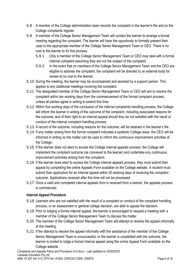- 5.8 A member of the College administration team records the complaint in the learner's file and on the College complaints register.
- 5.9 A member of the College Senior Management Team will contact the learner to arrange a formal meeting regarding the complaint. The learner will have the opportunity to formally present their case to the appropriate member of the College Senior Management Team or CEO. There is no cost to the learner to for this process.
	- 5.9.1 Only a member of the College Senior Management Team or CEO may deal with a formal internal complaint assuming they are not the subject of the complaint.
	- 5.9.2 In the event that no members of the College Senior Management Team and the CEO are eligible to address the complaint, the complaint will be directed to an external body for review at no cost to the learner.
- 5.10 During the meeting, the learner may be accompanied and assisted by a support person. This applies to any additional meetings involving the complaint.
- 5.11 The designated member of the College Senior Management Team or CEO will aim to resolve the complaint within ten working days from the commencement of the formal complaint process, unless all parties agree in writing to extend this time.
- 5.12 Within five working days of the conclusion of the internal complaints handling process, the College will inform the learner in writing of the outcome of the complaint, including associated reasons for the outcome, and of their right to an internal appeal should they be not satisfied with the result or conduct of the internal complaint handling process.
- 5.13 A record of the outcome, including reasons for the outcome, will be retained in the learner's file.
- 5.14 If any matter arising from the formal complaint indicates a systemic College issue, the CEO will be informed in writing so the matter can be used to inform the continuous improvement activities of the College.
- 5.15 If the learner does not elect to access the College internal appeals process, the College will implement the complaint outcome (as conveyed to the learner) and undertake any continuous improvement activities arising from the complaint.
- 5.16 If the learner does elect to access the College internal appeals process, they must submit their appeal by completing the online Appeals Form available on the College website. A student must submit their application for an internal appeal within 20 working days of receiving the complaint outcome. Applications received after this time will not be processed.
- 5.17 Once a valid and completed internal appeals form is received from a learner, the appeals process is commenced.

## <span id="page-5-0"></span>**Internal Appeal Procedure**

- 5.18 Learners who are not satisfied with the result of a complaint or conduct of the complaint handling process, or an assessment or general college decision, are able to appeal the decision.
- 5.19 Prior to lodging a formal internal appeal, the learner is encouraged to request a meeting with a member of the College Senior Management Team to discuss the matter.
- 5.20 The member of the College Senior Management Team will attempt to resolve the appeal informally at the meeting.
- 5.21 If the attempt to resolve the appeal informally with the assistance of the member of the College Senior Management Team is unsuccessful, or the learner is unsatisfied with the outcome, the learner is invited to lodge a formal internal appeal using the online Appeal Form available on the College website.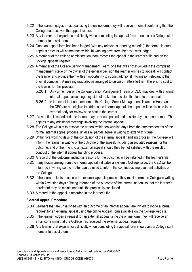- 5.22 If the learner lodges an appeal using the online form, they will receive an email confirming that the College has received the appeal request.
- 5.23 Any learner that experiences difficulty when completing the appeal form should ask a College staff member to assist them.
- 5.24 Once an appeal form has been lodged (with any relevant supporting material), the formal internal appeals process will commence within 10 working days from the day it was lodged.
- 5.25 A member of the college administration team records the appeal in the learner's file and on the College appeals register.
- 5.26 A member of the College Senior Management Team, one that was not involved in the complaint management stage or the owner of the general decision the learner wishes to appeal, will contact the learner and provide them with an opportunity to submit additional information relevant to the original complaint. A meeting may also be arranged to discuss matters further. There is no cost to the learner for this process.
	- 5.26.1 Only a member of the College Senior Management Team or CEO may deal with a formal internal appeal assuming they did not make the decision that lead to the appeal.
	- 5.26.2 In the event that no members of the College Senior Management Team the Head and the CEO are not eligible to address the internal appeal, the appeal will be directed to an external body for review at no cost to the learner.
- 5.27 If a meeting is scheduled, the learner may be accompanied and assisted by a support person. This applies to any additional meetings involving the internal appeal.
- 5.28 The College will aim to resolve the appeal within ten working days from the commencement of the formal internal appeal process, unless all parties agree in writing to extend this time.
- 5.29 Within five working days of the conclusion of the internal appeal handling process, the College will inform the learner in writing of the outcome of the appeal, including associated reasons for the outcome, and of their right to an external appeal should they be not satisfied with the result or conduct of the internal appeal handling process.
- 5.30 A record of the outcome, including reasons for the outcome, will be retained in the learner's file.
- 5.31 If any matter arising from the internal appeal indicates a systemic College issue, the CEO will be informed in writing so the matter can be used to inform the continuous improvement activities of the College.
- 5.32 If the learner elects to access the external appeals process, they must inform the College in writing within 7 working days of being informed of the outcome of the internal appeal so that the learner's enrolment may be maintained until the process is concluded.
- 5.33 A record of the appeal is recorded in the learner's file.

## <span id="page-6-0"></span>**External Appeal Procedure**

- 5.34 Learners that are unsatisfied with an outcome of an internal appeal, are invited to lodge a formal request for an external appeal using the online Appeal Form available on the College website.
- 5.35 If the learner lodges a request for an external appeal using the online form, they will receive an email confirming that the College has received the external appeal request.
- 5.36 Any learner that experiences difficulty when completing the appeal form should ask a College staff member to assist them.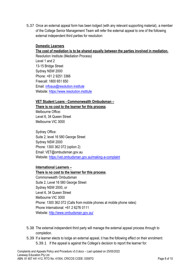5.37 Once an external appeal form has been lodged (with any relevant supporting material), a member of the College Senior Management Team will refer the external appeal to one of the following external independent third parties for resolution:

#### **Domestic Learners**

#### **The cost of mediation is to be shared equally between the parties involved in mediation.**

Resolution Institute (Mediation Process) Level 1 and 2 13-15 Bridge Street Sydney NSW 2000 Phone: +61 2 9251 3366 Freecall: 1800 651 650 Email: [infoaus@resolution.institute](mailto:infoaus@resolution.institute) Website[: https://www.resolution.institute](https://www.resolution.institute/)

#### **VET Student Loans - Commonwealth Ombudsman –**

**There is no cost to the learner for this process**. Melbourne Office: Level 6, 34 Queen Street Melbourne VIC 3000

Sydney Office: Suite 2, level 16 580 George Street Sydney NSW 2000 Phone: 1300 362 072 (option 2) Email: VET@ombudsman.gov.au Website[: https://vet.ombudsman.gov.au/making-a-complaint](https://vet.ombudsman.gov.au/making-a-complaint)

#### **International Learners –**

#### **There is no cost to the learner for this process**.

Commonwealth Ombudsman Suite 2, Level 16 580 George Street Sydney NSW 2000, or Level 6, 34 Queen Street Melbourne VIC 3000 Phone: 1300 362 072 (Calls from mobile phones at mobile phone rates) Phone International: +61 2 6276 0111 Website[: http://www.ombudsman.gov.au/](http://www.ombudsman.gov.au/)

- 5.38 The external independent third party will manage the external appeal process through to completion.
- 5.39 If a learner elects to lodge an external appeal, it has the following effect on their enrolment: 5.39.1 If the appeal is against the College's decision to report the learner for: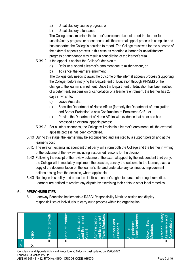- a) Unsatisfactory course progress, or
- b) Unsatisfactory attendance

The College must maintain the learner's enrolment (i.e. not report the learner for unsatisfactory progress or attendance) until the external appeal process is complete and has supported the College's decision to report. The College must wait for the outcome of the external appeals process in this case as reporting a learner for unsatisfactory progress or attendance may result in cancellation of the learner's visa.

- 5.39.2 If the appeal is against the College's decision to:
	- a) Defer or suspend a learner's enrolment due to misbehaviour, or
	- b) To cancel the learner's enrolment

The College only needs to await the outcome of the internal appeals process (supporting the College) before notifying the Department of Education through PRISMS of the change to the learner's enrolment. Once the Department of Education has been notified of a deferment, suspension or cancellation of a learner's enrolment, the learner has 28 days in which to:

- c) Leave Australia,
- d) Show the Department of Home Affairs (formerly the Department of Immigration and Border Protection) a new Confirmation of Enrolment (CoE), or
- e) Provide the Department of Home Affairs with evidence that he or she has accessed an external appeals process.
- 5.39.3 For all other scenarios, the College will maintain a learner's enrolment until the external appeals process has been completed.
- 5.40 During this stage, the learner may be accompanied and assisted by a support person and at the learner's cost.
- 5.41 The relevant external independent third party will inform both the College and the learner in writing of the outcome of the review, including associated reasons for the decision.
- 5.42 Following the receipt of the review outcome of the external appeal by the independent third party, the College will immediately implement the decision, convey the outcome to the learner, place a copy of the documentation on the learner's file, and undertake any continuous improvement actions arising from the decision, where applicable.
- 5.43 Nothing in this policy and procedure inhibits a learner's rights to pursue other legal remedies. Learners are entitled to resolve any dispute by exercising their rights to other legal remedies.

## <span id="page-8-0"></span>**6. RESPONSIBILITIES**

6.1 Laneway Education implements a RASCI Responsibility Matrix to assign and display responsibilities of individuals to carry out a process within the organisation.

|               | 叵 | ŏ<br>$\overline{\sigma}$<br><b>Head</b><br><u>_</u> | Product<br>$\phi$<br><b>Head</b> | Enrolment<br>Administration<br>oordinator<br>loug | <b>Members</b><br>Enrolment<br>Administration<br>eam<br><b>pus</b> | rainers and<br>SSessors<br>⊲<br>e e | <b>Members</b><br>xperience<br>Student<br>eam | Team<br>Members<br>Growth | <b>Due</b><br>Qualit<br>ccreditation<br>ssurance<br>Director:<br>✓<br>⋖ |
|---------------|---|-----------------------------------------------------|----------------------------------|---------------------------------------------------|--------------------------------------------------------------------|-------------------------------------|-----------------------------------------------|---------------------------|-------------------------------------------------------------------------|
|               |   |                                                     |                                  |                                                   |                                                                    |                                     |                                               |                           |                                                                         |
| $\frac{R}{A}$ |   |                                                     |                                  |                                                   |                                                                    |                                     |                                               |                           |                                                                         |